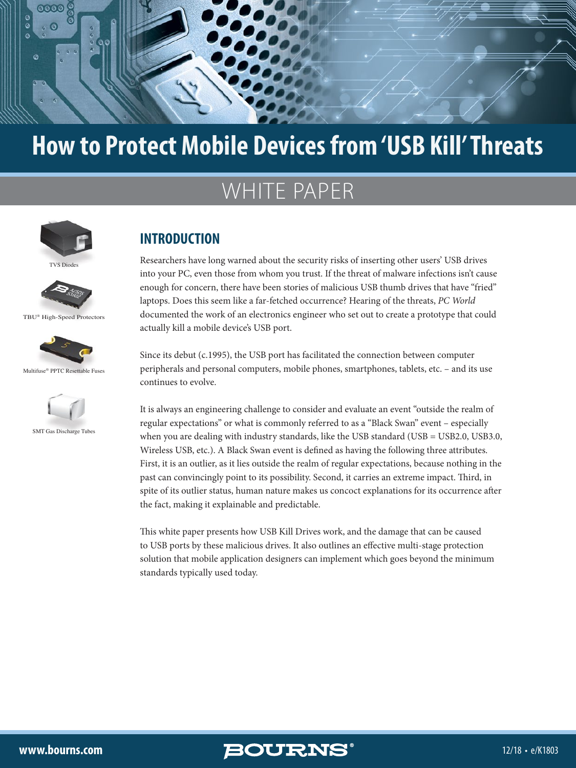

# **How to Protect Mobile Devices from 'USB Kill' Threats**

# WHITE PAPER



TVS Diodes



TBU® High-Speed Protectors





SMT Gas Discharge Tubes

### **INTRODUCTION**

Researchers have long warned about the security risks of inserting other users' USB drives into your PC, even those from whom you trust. If the threat of malware infections isn't cause enough for concern, there have been stories of malicious USB thumb drives that have "fried" laptops. Does this seem like a far-fetched occurrence? Hearing of the threats, *PC World* documented the work of an electronics engineer who set out to create a prototype that could actually kill a mobile device's USB port.

Since its debut (c.1995), the USB port has facilitated the connection between computer peripherals and personal computers, mobile phones, smartphones, tablets, etc. – and its use continues to evolve.

It is always an engineering challenge to consider and evaluate an event "outside the realm of regular expectations" or what is commonly referred to as a "Black Swan" event – especially when you are dealing with industry standards, like the USB standard (USB = USB2.0, USB3.0, Wireless USB, etc.). A Black Swan event is defined as having the following three attributes. First, it is an outlier, as it lies outside the realm of regular expectations, because nothing in the past can convincingly point to its possibility. Second, it carries an extreme impact. Third, in spite of its outlier status, human nature makes us concoct explanations for its occurrence after the fact, making it explainable and predictable.

This white paper presents how USB Kill Drives work, and the damage that can be caused to USB ports by these malicious drives. It also outlines an effective multi-stage protection solution that mobile application designers can implement which goes beyond the minimum standards typically used today.

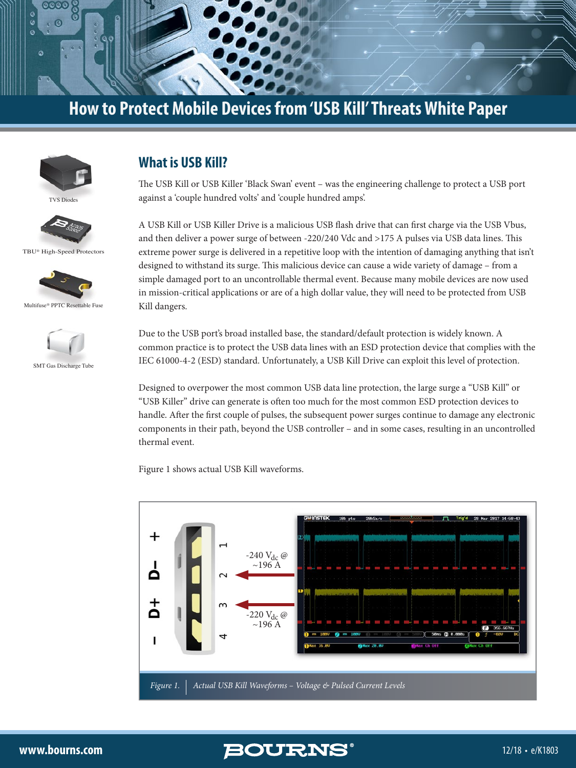



**TVS** Diode



TBU® High-Speed Protectors





SMT Gas Discharge Tube

## **What is USB Kill?**

The USB Kill or USB Killer 'Black Swan' event – was the engineering challenge to protect a USB port against a 'couple hundred volts' and 'couple hundred amps'.

A USB Kill or USB Killer Drive is a malicious USB flash drive that can first charge via the USB Vbus, and then deliver a power surge of between -220/240 Vdc and >175 A pulses via USB data lines. This extreme power surge is delivered in a repetitive loop with the intention of damaging anything that isn't designed to withstand its surge. This malicious device can cause a wide variety of damage – from a simple damaged port to an uncontrollable thermal event. Because many mobile devices are now used in mission-critical applications or are of a high dollar value, they will need to be protected from USB Kill dangers.

Due to the USB port's broad installed base, the standard/default protection is widely known. A common practice is to protect the USB data lines with an ESD protection device that complies with the IEC 61000-4-2 (ESD) standard. Unfortunately, a USB Kill Drive can exploit this level of protection.

Designed to overpower the most common USB data line protection, the large surge a "USB Kill" or "USB Killer" drive can generate is often too much for the most common ESD protection devices to handle. After the first couple of pulses, the subsequent power surges continue to damage any electronic components in their path, beyond the USB controller – and in some cases, resulting in an uncontrolled thermal event.

Figure 1 shows actual USB Kill waveforms.

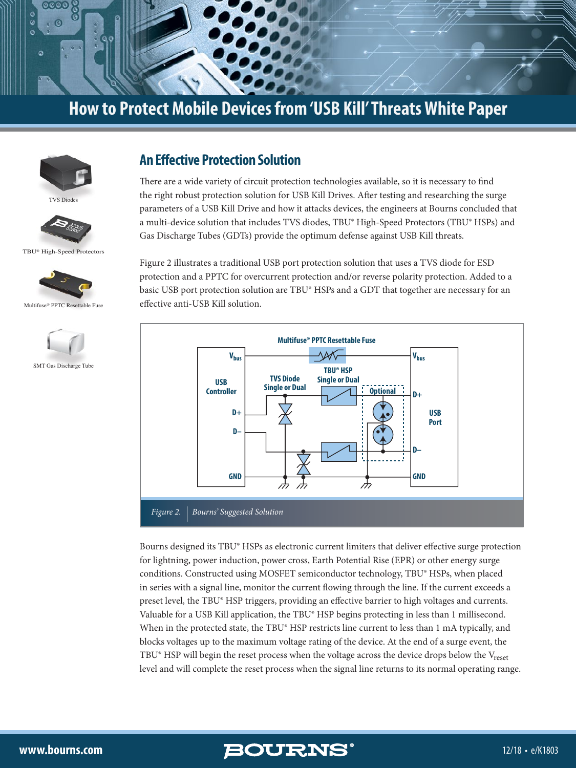



**TVS** Diode



TBU® High-Speed Protectors



Multifuse® PPTC Resettable Fuse



#### **An Effective Protection Solution**

There are a wide variety of circuit protection technologies available, so it is necessary to find the right robust protection solution for USB Kill Drives. After testing and researching the surge parameters of a USB Kill Drive and how it attacks devices, the engineers at Bourns concluded that a multi-device solution that includes TVS diodes, TBU® High-Speed Protectors (TBU® HSPs) and Gas Discharge Tubes (GDTs) provide the optimum defense against USB Kill threats.

Figure 2 illustrates a traditional USB port protection solution that uses a TVS diode for ESD protection and a PPTC for overcurrent protection and/or reverse polarity protection. Added to a basic USB port protection solution are TBU® HSPs and a GDT that together are necessary for an effective anti-USB Kill solution.



Bourns designed its TBU® HSPs as electronic current limiters that deliver effective surge protection for lightning, power induction, power cross, Earth Potential Rise (EPR) or other energy surge conditions. Constructed using MOSFET semiconductor technology, TBU® HSPs, when placed in series with a signal line, monitor the current flowing through the line. If the current exceeds a preset level, the TBU® HSP triggers, providing an effective barrier to high voltages and currents. Valuable for a USB Kill application, the TBU® HSP begins protecting in less than 1 millisecond. When in the protected state, the TBU® HSP restricts line current to less than 1 mA typically, and blocks voltages up to the maximum voltage rating of the device. At the end of a surge event, the TBU® HSP will begin the reset process when the voltage across the device drops below the  $V_{reset}$ level and will complete the reset process when the signal line returns to its normal operating range.

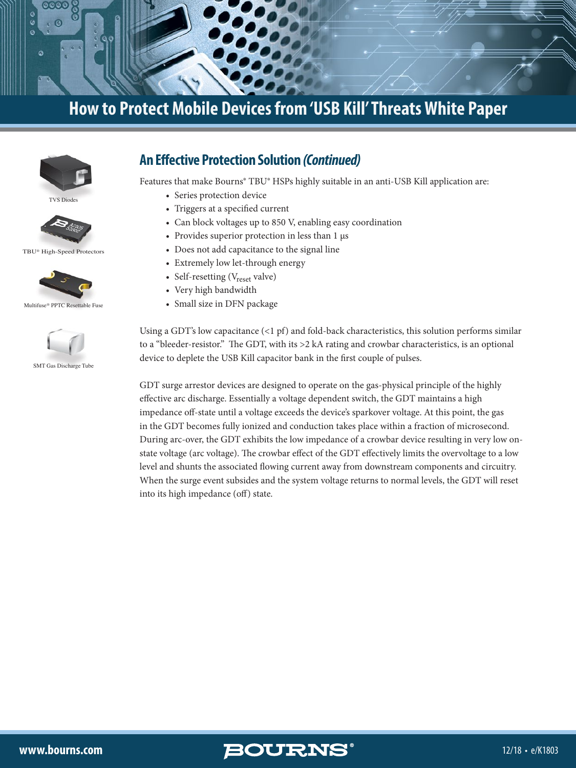



TVS Diodes



TBU® High-Speed Protectors







SMT Gas Discharge Tube

#### **An Effective Protection Solution** *(Continued)*

Features that make Bourns® TBU® HSPs highly suitable in an anti-USB Kill application are:

- Series protection device
- Triggers at a specified current
- Can block voltages up to 850 V, enabling easy coordination
- Provides superior protection in less than 1 μs
- Does not add capacitance to the signal line
- Extremely low let-through energy
- Self-resetting (V<sub>reset</sub> valve)
- Very high bandwidth
- Small size in DFN package

Using a GDT's low capacitance (<1 pf) and fold-back characteristics, this solution performs similar to a "bleeder-resistor." The GDT, with its >2 kA rating and crowbar characteristics, is an optional device to deplete the USB Kill capacitor bank in the first couple of pulses.

GDT surge arrestor devices are designed to operate on the gas-physical principle of the highly effective arc discharge. Essentially a voltage dependent switch, the GDT maintains a high impedance off-state until a voltage exceeds the device's sparkover voltage. At this point, the gas in the GDT becomes fully ionized and conduction takes place within a fraction of microsecond. During arc-over, the GDT exhibits the low impedance of a crowbar device resulting in very low onstate voltage (arc voltage). The crowbar effect of the GDT effectively limits the overvoltage to a low level and shunts the associated flowing current away from downstream components and circuitry. When the surge event subsides and the system voltage returns to normal levels, the GDT will reset into its high impedance (off) state.

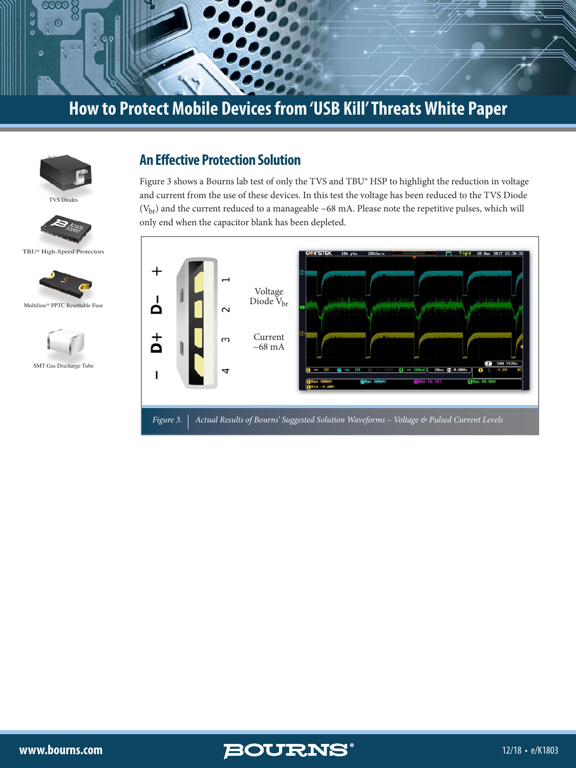



TVS Diodes



TBU® High-Speed Protectors





#### **An Effective Protection Solution**

Figure 3 shows a Bourns lab test of only the TVS and TBU® HSP to highlight the reduction in voltage and current from the use of these devices. In this test the voltage has been reduced to the TVS Diode  $(V<sub>br</sub>)$  and the current reduced to a manageable ~68 mA. Please note the repetitive pulses, which will only end when the capacitor blank has been depleted.





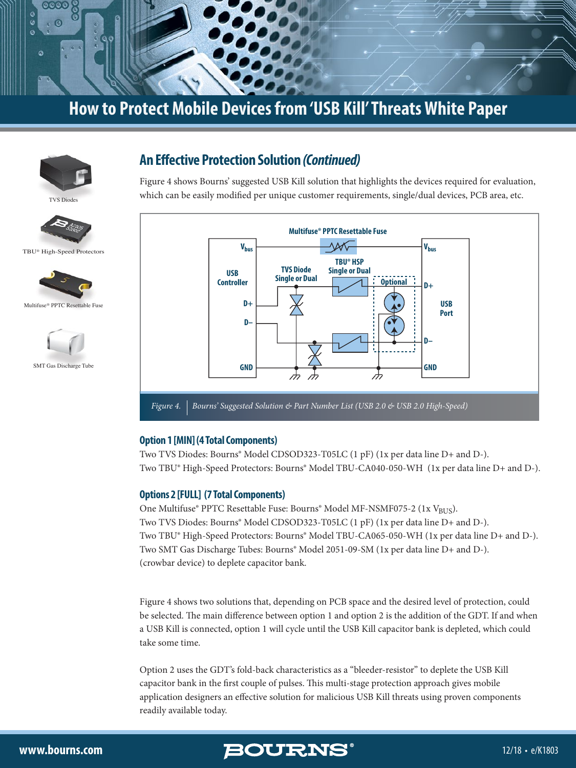



**TVS** Diode









#### **An Effective Protection Solution** *(Continued)*

Figure 4 shows Bourns' suggested USB Kill solution that highlights the devices required for evaluation, which can be easily modified per unique customer requirements, single/dual devices, PCB area, etc.



#### **Option 1 [MIN] (4 Total Components)**

Two TVS Diodes: Bourns® Model CDSOD323-T05LC (1 pF) (1x per data line D+ and D-). Two TBU® High-Speed Protectors: Bourns® Model TBU-CA040-050-WH (1x per data line D+ and D-).

#### **Options 2 [FULL] (7 Total Components)**

One Multifuse® PPTC Resettable Fuse: Bourns® Model MF-NSMF075-2 (1x V<sub>BUS</sub>). Two TVS Diodes: Bourns® Model CDSOD323-T05LC (1 pF) (1x per data line D+ and D-). Two TBU® High-Speed Protectors: Bourns® Model TBU-CA065-050-WH (1x per data line D+ and D-). Two SMT Gas Discharge Tubes: Bourns® Model 2051-09-SM (1x per data line D+ and D-). (crowbar device) to deplete capacitor bank.

Figure 4 shows two solutions that, depending on PCB space and the desired level of protection, could be selected. The main difference between option 1 and option 2 is the addition of the GDT. If and when a USB Kill is connected, option 1 will cycle until the USB Kill capacitor bank is depleted, which could take some time.

Option 2 uses the GDT's fold-back characteristics as a "bleeder-resistor" to deplete the USB Kill capacitor bank in the first couple of pulses. This multi-stage protection approach gives mobile application designers an effective solution for malicious USB Kill threats using proven components readily available today.